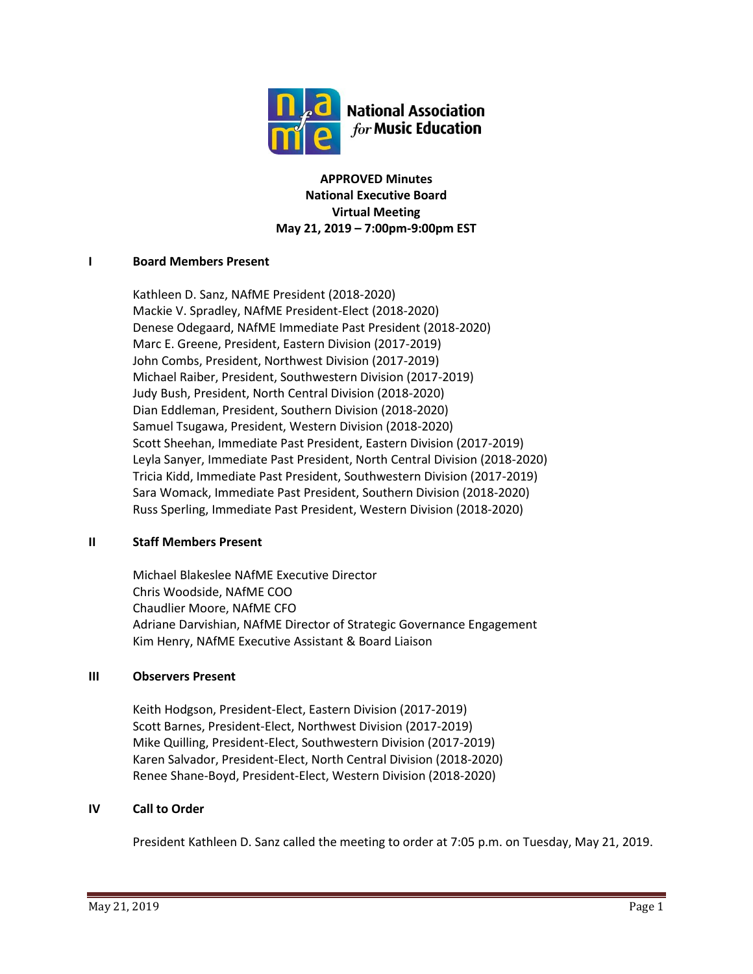

**APPROVED Minutes National Executive Board Virtual Meeting May 21, 2019 – 7:00pm-9:00pm EST**

## **I Board Members Present**

Kathleen D. Sanz, NAfME President (2018-2020) Mackie V. Spradley, NAfME President-Elect (2018-2020) Denese Odegaard, NAfME Immediate Past President (2018-2020) Marc E. Greene, President, Eastern Division (2017-2019) John Combs, President, Northwest Division (2017-2019) Michael Raiber, President, Southwestern Division (2017-2019) Judy Bush, President, North Central Division (2018-2020) Dian Eddleman, President, Southern Division (2018-2020) Samuel Tsugawa, President, Western Division (2018-2020) Scott Sheehan, Immediate Past President, Eastern Division (2017-2019) Leyla Sanyer, Immediate Past President, North Central Division (2018-2020) Tricia Kidd, Immediate Past President, Southwestern Division (2017-2019) Sara Womack, Immediate Past President, Southern Division (2018-2020) Russ Sperling, Immediate Past President, Western Division (2018-2020)

#### **II Staff Members Present**

Michael Blakeslee NAfME Executive Director Chris Woodside, NAfME COO Chaudlier Moore, NAfME CFO Adriane Darvishian, NAfME Director of Strategic Governance Engagement Kim Henry, NAfME Executive Assistant & Board Liaison

## **III Observers Present**

Keith Hodgson, President-Elect, Eastern Division (2017-2019) Scott Barnes, President-Elect, Northwest Division (2017-2019) Mike Quilling, President-Elect, Southwestern Division (2017-2019) Karen Salvador, President-Elect, North Central Division (2018-2020) Renee Shane-Boyd, President-Elect, Western Division (2018-2020)

## **IV Call to Order**

President Kathleen D. Sanz called the meeting to order at 7:05 p.m. on Tuesday, May 21, 2019.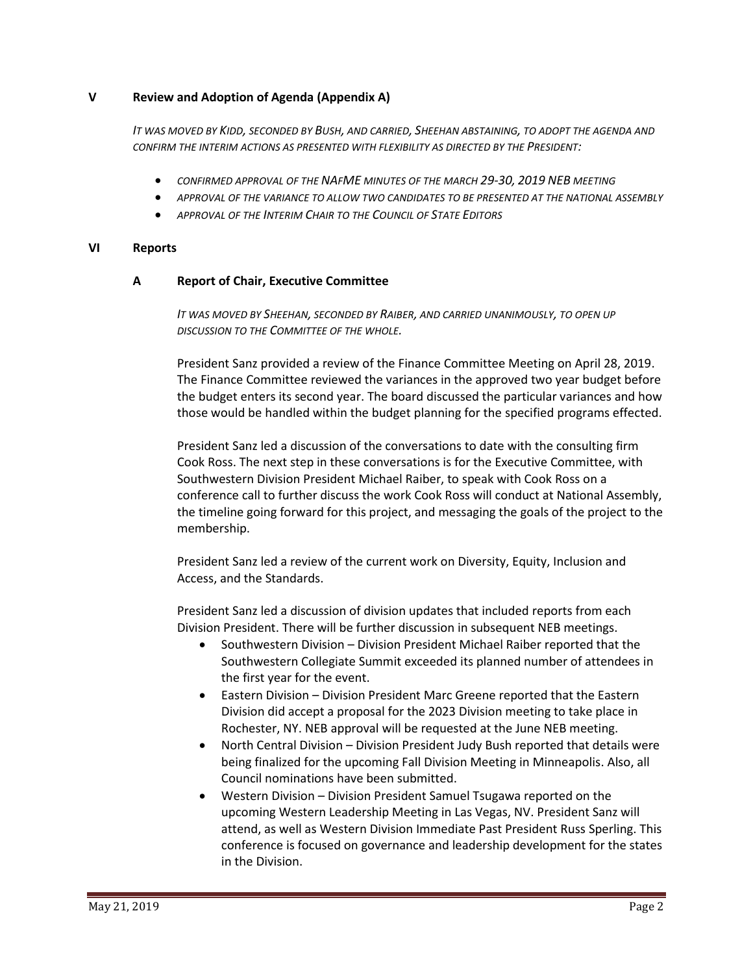## **V Review and Adoption of Agenda (Appendix A)**

*IT WAS MOVED BY KIDD, SECONDED BY BUSH, AND CARRIED, SHEEHAN ABSTAINING, TO ADOPT THE AGENDA AND CONFIRM THE INTERIM ACTIONS AS PRESENTED WITH FLEXIBILITY AS DIRECTED BY THE PRESIDENT:*

- *CONFIRMED APPROVAL OF THE NAFME MINUTES OF THE MARCH 29-30, 2019 NEB MEETING*
- *APPROVAL OF THE VARIANCE TO ALLOW TWO CANDIDATES TO BE PRESENTED AT THE NATIONAL ASSEMBLY*
- *APPROVAL OF THE INTERIM CHAIR TO THE COUNCIL OF STATE EDITORS*

## **VI Reports**

## **A Report of Chair, Executive Committee**

*IT WAS MOVED BY SHEEHAN, SECONDED BY RAIBER, AND CARRIED UNANIMOUSLY, TO OPEN UP DISCUSSION TO THE COMMITTEE OF THE WHOLE.*

President Sanz provided a review of the Finance Committee Meeting on April 28, 2019. The Finance Committee reviewed the variances in the approved two year budget before the budget enters its second year. The board discussed the particular variances and how those would be handled within the budget planning for the specified programs effected.

President Sanz led a discussion of the conversations to date with the consulting firm Cook Ross. The next step in these conversations is for the Executive Committee, with Southwestern Division President Michael Raiber, to speak with Cook Ross on a conference call to further discuss the work Cook Ross will conduct at National Assembly, the timeline going forward for this project, and messaging the goals of the project to the membership.

President Sanz led a review of the current work on Diversity, Equity, Inclusion and Access, and the Standards.

President Sanz led a discussion of division updates that included reports from each Division President. There will be further discussion in subsequent NEB meetings.

- Southwestern Division Division President Michael Raiber reported that the Southwestern Collegiate Summit exceeded its planned number of attendees in the first year for the event.
- Eastern Division Division President Marc Greene reported that the Eastern Division did accept a proposal for the 2023 Division meeting to take place in Rochester, NY. NEB approval will be requested at the June NEB meeting.
- North Central Division Division President Judy Bush reported that details were being finalized for the upcoming Fall Division Meeting in Minneapolis. Also, all Council nominations have been submitted.
- Western Division Division President Samuel Tsugawa reported on the upcoming Western Leadership Meeting in Las Vegas, NV. President Sanz will attend, as well as Western Division Immediate Past President Russ Sperling. This conference is focused on governance and leadership development for the states in the Division.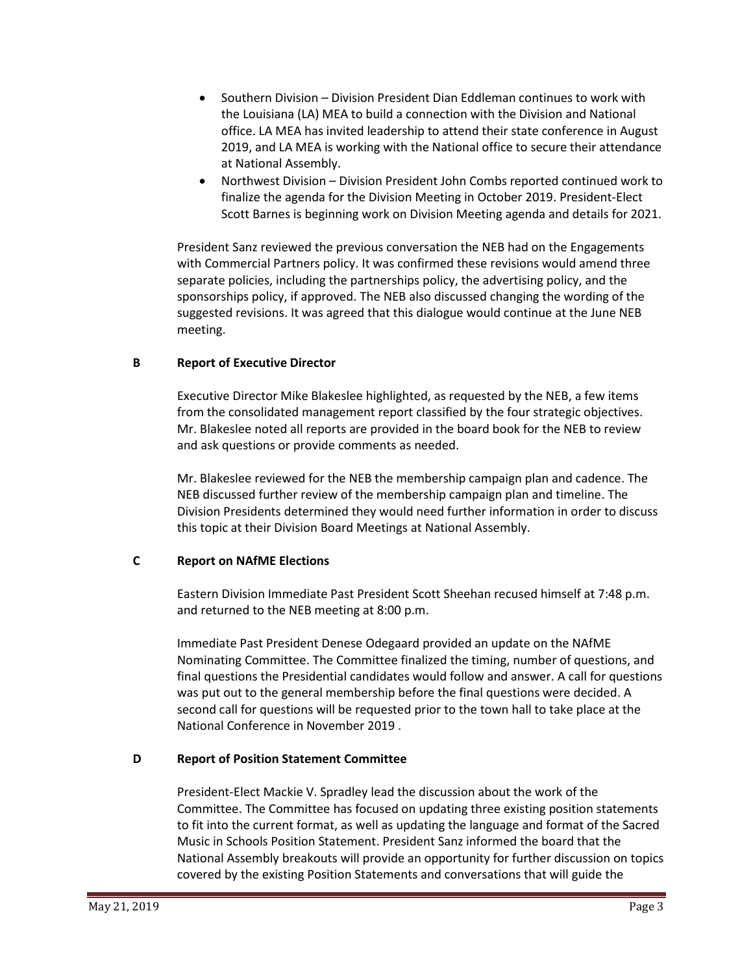- Southern Division Division President Dian Eddleman continues to work with the Louisiana (LA) MEA to build a connection with the Division and National office. LA MEA has invited leadership to attend their state conference in August 2019, and LA MEA is working with the National office to secure their attendance at National Assembly.
- Northwest Division Division President John Combs reported continued work to finalize the agenda for the Division Meeting in October 2019. President-Elect Scott Barnes is beginning work on Division Meeting agenda and details for 2021.

President Sanz reviewed the previous conversation the NEB had on the Engagements with Commercial Partners policy. It was confirmed these revisions would amend three separate policies, including the partnerships policy, the advertising policy, and the sponsorships policy, if approved. The NEB also discussed changing the wording of the suggested revisions. It was agreed that this dialogue would continue at the June NEB meeting.

# **B Report of Executive Director**

Executive Director Mike Blakeslee highlighted, as requested by the NEB, a few items from the consolidated management report classified by the four strategic objectives. Mr. Blakeslee noted all reports are provided in the board book for the NEB to review and ask questions or provide comments as needed.

Mr. Blakeslee reviewed for the NEB the membership campaign plan and cadence. The NEB discussed further review of the membership campaign plan and timeline. The Division Presidents determined they would need further information in order to discuss this topic at their Division Board Meetings at National Assembly.

## **C Report on NAfME Elections**

Eastern Division Immediate Past President Scott Sheehan recused himself at 7:48 p.m. and returned to the NEB meeting at 8:00 p.m.

Immediate Past President Denese Odegaard provided an update on the NAfME Nominating Committee. The Committee finalized the timing, number of questions, and final questions the Presidential candidates would follow and answer. A call for questions was put out to the general membership before the final questions were decided. A second call for questions will be requested prior to the town hall to take place at the National Conference in November 2019 .

## **D Report of Position Statement Committee**

President-Elect Mackie V. Spradley lead the discussion about the work of the Committee. The Committee has focused on updating three existing position statements to fit into the current format, as well as updating the language and format of the Sacred Music in Schools Position Statement. President Sanz informed the board that the National Assembly breakouts will provide an opportunity for further discussion on topics covered by the existing Position Statements and conversations that will guide the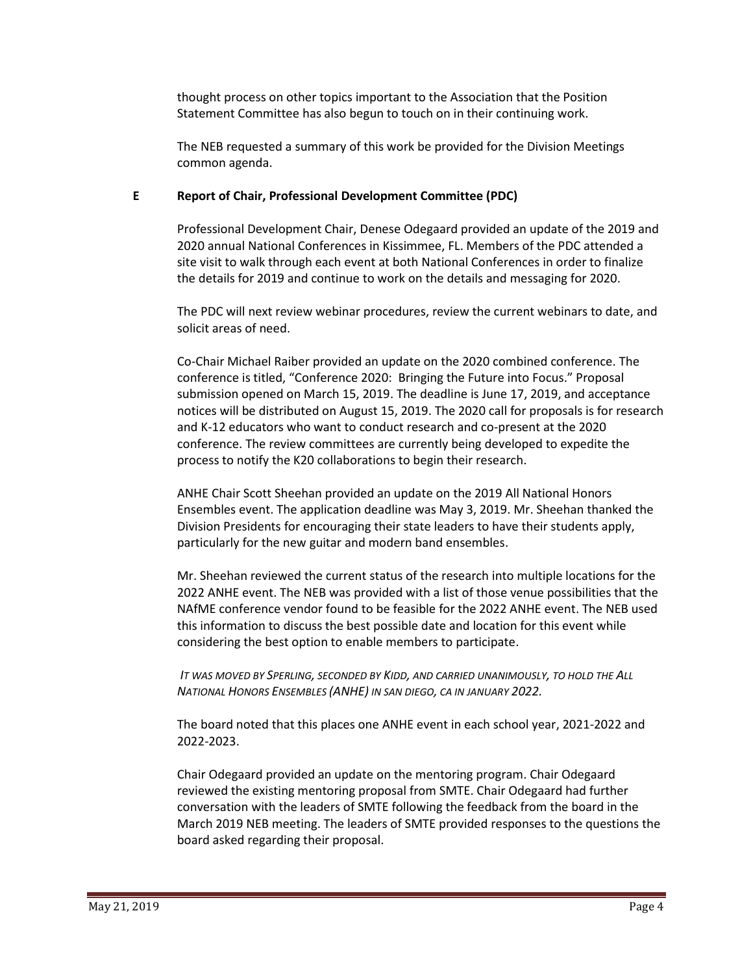thought process on other topics important to the Association that the Position Statement Committee has also begun to touch on in their continuing work.

The NEB requested a summary of this work be provided for the Division Meetings common agenda.

# **E Report of Chair, Professional Development Committee (PDC)**

Professional Development Chair, Denese Odegaard provided an update of the 2019 and 2020 annual National Conferences in Kissimmee, FL. Members of the PDC attended a site visit to walk through each event at both National Conferences in order to finalize the details for 2019 and continue to work on the details and messaging for 2020.

The PDC will next review webinar procedures, review the current webinars to date, and solicit areas of need.

Co-Chair Michael Raiber provided an update on the 2020 combined conference. The conference is titled, "Conference 2020: Bringing the Future into Focus." Proposal submission opened on March 15, 2019. The deadline is June 17, 2019, and acceptance notices will be distributed on August 15, 2019. The 2020 call for proposals is for research and K-12 educators who want to conduct research and co-present at the 2020 conference. The review committees are currently being developed to expedite the process to notify the K20 collaborations to begin their research.

ANHE Chair Scott Sheehan provided an update on the 2019 All National Honors Ensembles event. The application deadline was May 3, 2019. Mr. Sheehan thanked the Division Presidents for encouraging their state leaders to have their students apply, particularly for the new guitar and modern band ensembles.

Mr. Sheehan reviewed the current status of the research into multiple locations for the 2022 ANHE event. The NEB was provided with a list of those venue possibilities that the NAfME conference vendor found to be feasible for the 2022 ANHE event. The NEB used this information to discuss the best possible date and location for this event while considering the best option to enable members to participate.

*IT WAS MOVED BY SPERLING, SECONDED BY KIDD, AND CARRIED UNANIMOUSLY, TO HOLD THE ALL NATIONAL HONORS ENSEMBLES (ANHE) IN SAN DIEGO, CA IN JANUARY 2022.*

The board noted that this places one ANHE event in each school year, 2021-2022 and 2022-2023.

Chair Odegaard provided an update on the mentoring program. Chair Odegaard reviewed the existing mentoring proposal from SMTE. Chair Odegaard had further conversation with the leaders of SMTE following the feedback from the board in the March 2019 NEB meeting. The leaders of SMTE provided responses to the questions the board asked regarding their proposal.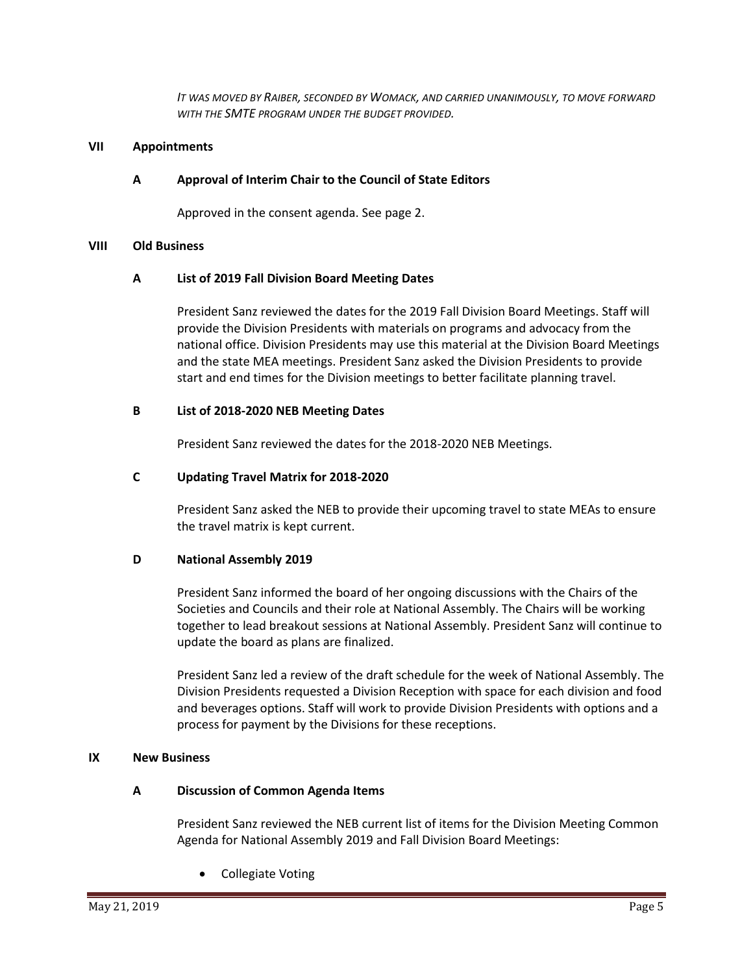*IT WAS MOVED BY RAIBER, SECONDED BY WOMACK, AND CARRIED UNANIMOUSLY, TO MOVE FORWARD WITH THE SMTE PROGRAM UNDER THE BUDGET PROVIDED.*

#### **VII Appointments**

## **A Approval of Interim Chair to the Council of State Editors**

Approved in the consent agenda. See page 2.

#### **VIII Old Business**

#### **A List of 2019 Fall Division Board Meeting Dates**

President Sanz reviewed the dates for the 2019 Fall Division Board Meetings. Staff will provide the Division Presidents with materials on programs and advocacy from the national office. Division Presidents may use this material at the Division Board Meetings and the state MEA meetings. President Sanz asked the Division Presidents to provide start and end times for the Division meetings to better facilitate planning travel.

#### **B List of 2018-2020 NEB Meeting Dates**

President Sanz reviewed the dates for the 2018-2020 NEB Meetings.

## **C Updating Travel Matrix for 2018-2020**

President Sanz asked the NEB to provide their upcoming travel to state MEAs to ensure the travel matrix is kept current.

## **D National Assembly 2019**

President Sanz informed the board of her ongoing discussions with the Chairs of the Societies and Councils and their role at National Assembly. The Chairs will be working together to lead breakout sessions at National Assembly. President Sanz will continue to update the board as plans are finalized.

President Sanz led a review of the draft schedule for the week of National Assembly. The Division Presidents requested a Division Reception with space for each division and food and beverages options. Staff will work to provide Division Presidents with options and a process for payment by the Divisions for these receptions.

## **IX New Business**

## **A Discussion of Common Agenda Items**

President Sanz reviewed the NEB current list of items for the Division Meeting Common Agenda for National Assembly 2019 and Fall Division Board Meetings:

• Collegiate Voting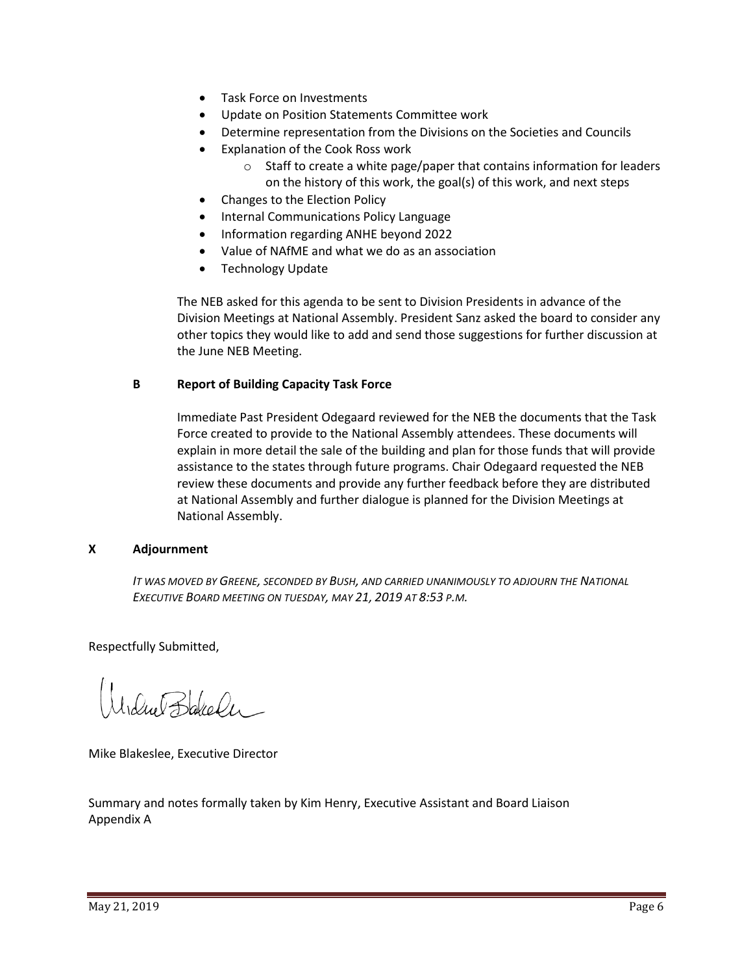- Task Force on Investments
- Update on Position Statements Committee work
- Determine representation from the Divisions on the Societies and Councils
- Explanation of the Cook Ross work
	- o Staff to create a white page/paper that contains information for leaders on the history of this work, the goal(s) of this work, and next steps
- Changes to the Election Policy
- Internal Communications Policy Language
- Information regarding ANHE beyond 2022
- Value of NAfME and what we do as an association
- Technology Update

The NEB asked for this agenda to be sent to Division Presidents in advance of the Division Meetings at National Assembly. President Sanz asked the board to consider any other topics they would like to add and send those suggestions for further discussion at the June NEB Meeting.

## **B Report of Building Capacity Task Force**

Immediate Past President Odegaard reviewed for the NEB the documents that the Task Force created to provide to the National Assembly attendees. These documents will explain in more detail the sale of the building and plan for those funds that will provide assistance to the states through future programs. Chair Odegaard requested the NEB review these documents and provide any further feedback before they are distributed at National Assembly and further dialogue is planned for the Division Meetings at National Assembly.

## **X Adjournment**

*IT WAS MOVED BY GREENE, SECONDED BY BUSH, AND CARRIED UNANIMOUSLY TO ADJOURN THE NATIONAL EXECUTIVE BOARD MEETING ON TUESDAY, MAY 21, 2019 AT 8:53 P.M.*

Respectfully Submitted,

Idue Bakele

Mike Blakeslee, Executive Director

Summary and notes formally taken by Kim Henry, Executive Assistant and Board Liaison Appendix A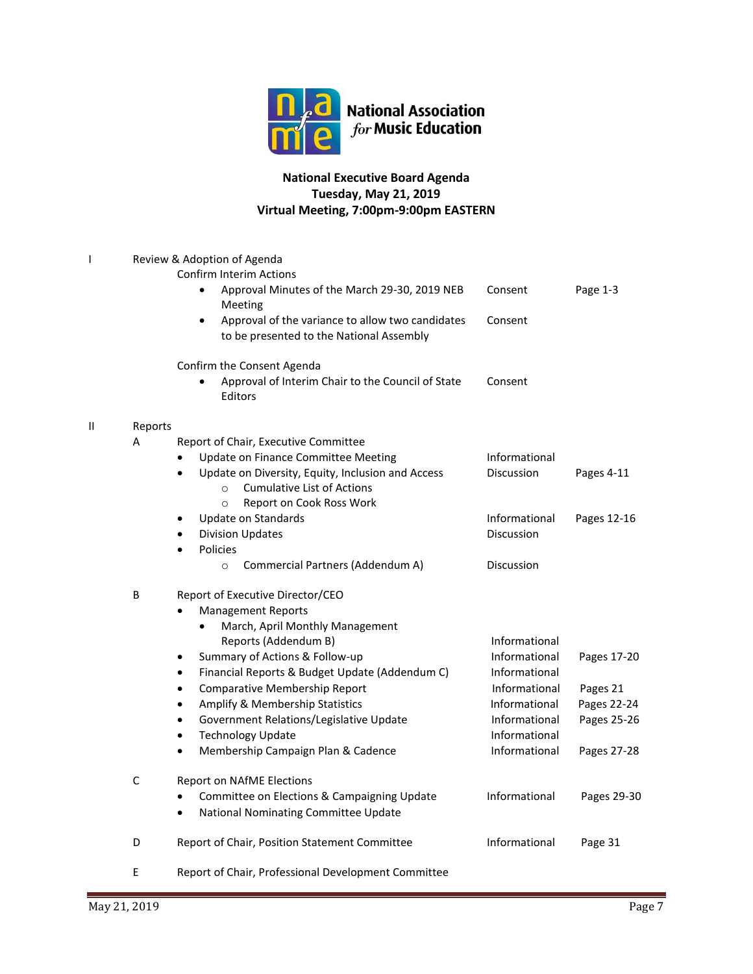

# **National Executive Board Agenda Tuesday, May 21, 2019 Virtual Meeting, 7:00pm-9:00pm EASTERN**

| I | Review & Adoption of Agenda<br><b>Confirm Interim Actions</b> |                                                                                                                |                             |             |  |  |
|---|---------------------------------------------------------------|----------------------------------------------------------------------------------------------------------------|-----------------------------|-------------|--|--|
|   |                                                               | Approval Minutes of the March 29-30, 2019 NEB<br>Meeting                                                       | Consent                     | Page 1-3    |  |  |
|   |                                                               | Approval of the variance to allow two candidates<br>$\bullet$<br>to be presented to the National Assembly      | Consent                     |             |  |  |
|   |                                                               | Confirm the Consent Agenda                                                                                     |                             |             |  |  |
|   |                                                               | Approval of Interim Chair to the Council of State<br>Editors                                                   | Consent                     |             |  |  |
| Ш | Reports                                                       |                                                                                                                |                             |             |  |  |
|   | A                                                             | Report of Chair, Executive Committee                                                                           |                             |             |  |  |
|   |                                                               | Update on Finance Committee Meeting                                                                            | Informational               |             |  |  |
|   |                                                               | Update on Diversity, Equity, Inclusion and Access<br>$\bullet$<br><b>Cumulative List of Actions</b><br>$\circ$ | Discussion                  | Pages 4-11  |  |  |
|   |                                                               | Report on Cook Ross Work<br>$\circ$                                                                            |                             |             |  |  |
|   |                                                               | Update on Standards<br><b>Division Updates</b>                                                                 | Informational<br>Discussion | Pages 12-16 |  |  |
|   |                                                               | <b>Policies</b><br>$\bullet$                                                                                   |                             |             |  |  |
|   |                                                               | Commercial Partners (Addendum A)<br>$\circ$                                                                    | Discussion                  |             |  |  |
|   | B                                                             | Report of Executive Director/CEO                                                                               |                             |             |  |  |
|   |                                                               | <b>Management Reports</b>                                                                                      |                             |             |  |  |
|   |                                                               | March, April Monthly Management                                                                                |                             |             |  |  |
|   |                                                               | Reports (Addendum B)                                                                                           | Informational               |             |  |  |
|   |                                                               | Summary of Actions & Follow-up<br>$\bullet$                                                                    | Informational               | Pages 17-20 |  |  |
|   |                                                               | Financial Reports & Budget Update (Addendum C)<br>$\bullet$                                                    | Informational               |             |  |  |
|   |                                                               | Comparative Membership Report<br>$\bullet$                                                                     | Informational               | Pages 21    |  |  |
|   |                                                               | Amplify & Membership Statistics<br>٠                                                                           | Informational               | Pages 22-24 |  |  |
|   |                                                               | Government Relations/Legislative Update<br>$\bullet$                                                           | Informational               | Pages 25-26 |  |  |
|   |                                                               | <b>Technology Update</b><br>$\bullet$                                                                          | Informational               |             |  |  |
|   |                                                               | Membership Campaign Plan & Cadence<br>$\bullet$                                                                | Informational               | Pages 27-28 |  |  |
|   | С                                                             | Report on NAfME Elections                                                                                      |                             |             |  |  |
|   |                                                               | Committee on Elections & Campaigning Update                                                                    | Informational               | Pages 29-30 |  |  |
|   |                                                               | National Nominating Committee Update<br>$\bullet$                                                              |                             |             |  |  |
|   | D                                                             | Report of Chair, Position Statement Committee                                                                  | Informational               | Page 31     |  |  |
|   | E                                                             | Report of Chair, Professional Development Committee                                                            |                             |             |  |  |